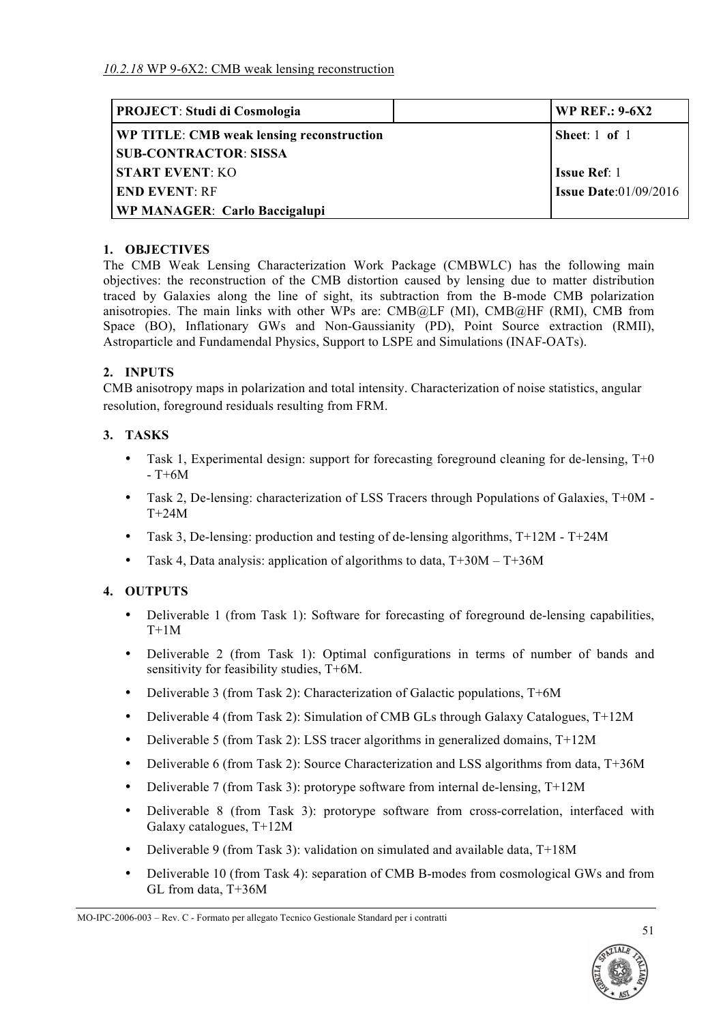| <b>PROJECT: Studi di Cosmologia</b>       | <b>WP REF.: 9-6X2</b>        |
|-------------------------------------------|------------------------------|
| WP TITLE: CMB weak lensing reconstruction | Sheet: $1$ of $1$            |
| <b>SUB-CONTRACTOR: SISSA</b>              |                              |
| <b>START EVENT: KO</b>                    | <b>Issue Ref</b> : 1         |
| <b>END EVENT: RF</b>                      | <b>Issue Date:01/09/2016</b> |
| <b>WP MANAGER: Carlo Baccigalupi</b>      |                              |

### **1. OBJECTIVES**

The CMB Weak Lensing Characterization Work Package (CMBWLC) has the following main objectives: the reconstruction of the CMB distortion caused by lensing due to matter distribution traced by Galaxies along the line of sight, its subtraction from the B-mode CMB polarization anisotropies. The main links with other WPs are:  $CMB@LF$  (MI),  $CMB@HF$  (RMI), CMB from Space (BO), Inflationary GWs and Non-Gaussianity (PD), Point Source extraction (RMII), Astroparticle and Fundamendal Physics, Support to LSPE and Simulations (INAF-OATs).

### **2. INPUTS**

CMB anisotropy maps in polarization and total intensity. Characterization of noise statistics, angular resolution, foreground residuals resulting from FRM.

### **3. TASKS**

- Task 1, Experimental design: support for forecasting foreground cleaning for de-lensing, T+0  $-$  T+6M
- Task 2, De-lensing: characterization of LSS Tracers through Populations of Galaxies, T+0M T+24M
- Task 3, De-lensing: production and testing of de-lensing algorithms, T+12M T+24M
- Task 4, Data analysis: application of algorithms to data, T+30M T+36M

### **4. OUTPUTS**

- Deliverable 1 (from Task 1): Software for forecasting of foreground de-lensing capabilities,  $T+1M$
- Deliverable 2 (from Task 1): Optimal configurations in terms of number of bands and sensitivity for feasibility studies, T+6M.
- Deliverable 3 (from Task 2): Characterization of Galactic populations, T+6M
- Deliverable 4 (from Task 2): Simulation of CMB GLs through Galaxy Catalogues, T+12M
- Deliverable 5 (from Task 2): LSS tracer algorithms in generalized domains, T+12M
- Deliverable 6 (from Task 2): Source Characterization and LSS algorithms from data, T+36M
- Deliverable 7 (from Task 3): protorype software from internal de-lensing, T+12M
- Deliverable 8 (from Task 3): protorype software from cross-correlation, interfaced with Galaxy catalogues, T+12M
- Deliverable 9 (from Task 3): validation on simulated and available data, T+18M
- Deliverable 10 (from Task 4): separation of CMB B-modes from cosmological GWs and from GL from data, T+36M



MO-IPC-2006-003 – Rev. C - Formato per allegato Tecnico Gestionale Standard per i contratti